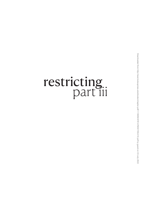# [restricting](#page--1-0)...<br>part iii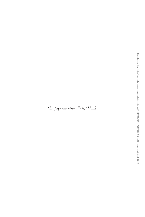*This page intentionally left blank*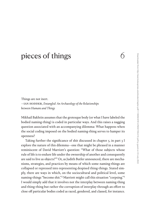## [pieces of things](#page--1-0) 6

Things are not inert. —ian hodder, *Entangled: An Archaeology of the Relationships between Humans and Things*

Mikhail Bakhtin assumes that the grotesque body (or what I have labeled the bodied naming-thing) is coded in particular ways. And this raises a nagging question associated with an accompanying dilemma: What happens when the social coding imposed on the bodied naming-thing serves to hamper its openness?

Taking further the significance of shit discussed in chapter 5, in part 3 I explore the nature of this dilemma—one that might be phrased in a manner reminiscent of David Marriott's question: "What of those subjects whose rule of life is to endure life under the ownership of another and consequently are said to live as objects?"<sup>[1](#page--1-0)</sup> Or, as Judith Butler announced, there are mechanisms, strategies, and practices by means of which some naming-things are collapsed or repressed into representing despised thing-things. Stated simply, there are ways in which, on the sociocultural and political level, some naming-things "become shit."[2](#page--1-0) Marriott might call this situation "corpsing."[3](#page--1-0) I would simply add that it involves not the interplay between naming-thing and thing-thing but rather the corruption of interplay through an effort to close off particular bodies coded as raced, gendered, and classed, for instance.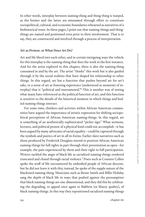In other words, interplay between naming-thing and thing-thing is warped, as the former and the latter are misnamed through effort to constitute sociopolitical, cultural, and economic boundaries rehearsed as narratives of a biohistorical tenor. In these pages, I point out that naming-things and thingthings are named and positioned even prior to their involvement. That is to say, they are constructed and involved through a process of interpretation.

#### Art as Protest, or What Does Art Do?

Art and life bleed into each other, and in certain intriguing ways the vehicle for this interplay is the naming-thing that does the work in the first instance. And for the artist explored in this chapter, there is also the naming-thing consumed in and by the art. The artist "thinks" this work but is also guided through it by the social realities that have shaped his relationship to other things. In this regard, art has a function that pushes beyond art for art's sake, to a sense of art as fostering experience (understood as moments of interplay) that is "political and instrumental.["4](#page--1-0) This is another way of noting what many have referenced as the political function of art, and this function is sensitive to the details of the historical moment in which things and bodied naming-things interact.

For some time, thinkers and activists within African American communities have argued the importance of artistic expression for shifting sociopolitical perceptions of African American naming-things. In this regard, art is something of an aesthetically sophisticated "picket sign." What sermons, lectures, and political protest of a physical kind could not accomplish—it has been argued by many advocates of racial equality—could be captured through the symbols and poetics of art in all its forms. Earlier slave narratives such as those produced by Frederick Douglass intend to position African American naming-things for full rights in part through their presentation as open—for example, the pain experienced by them and their right to full participation. Writers tackled the angst of black life as racialized naming-things rendered truncated and closed through racial violence.<sup>5</sup> Poets such as Countee Collen spoke the stuff of life encountered by embodied people of African descent, but he did not leave it with this; instead, he spoke of the supple nature of the blackened naming-thing. Musicians such as Bessie Smith and Billie Holiday sang the depth of black life in ways that pushed against the presumption that black naming-things are one-dimensional, and they did this by celebrating the degrading, to appeal once again to Bakhtin (or bluesy quality), of black naming-things. In this way they repositioned racialized naming-things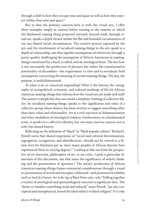through a shift in how they occupy time and space as well as how they inter-act within that time and space.<sup>[6](#page--1-0)</sup>

But in that the primary concern here is with the visual arts, I offer these examples simply as context before turning to the manner in which the blackened naming-thing projected outward, beyond itself, through visual art, speaks a depth denied within the flat and bounded circumstances of our race-biased social circumstances. The creative process captured by the arts and the involvement of racialized naming-things in the arts speak to a depth of relationship, one that signifies assumptions of inferiority through a poetic quality challenging the assumption of African Americans as namingthings constituted by a fixed, a reified, and an ontological limit. The key here is not necessarily the production of pleasure but rather the transformative potentiality of discomfort—the requirement to view and to reevaluate held assumptions concerning the meaning of certain naming-things. The key, the purpose, is multidimensional.

To what is art so conceived responding? What is the history, the cartography of sociopolitical, economic, and cultural markings of life for African American naming-things that informs how the visual arts are made and read? The answer is simple but does not entail a simplistic framing of collective life. Art, by racialized naming-things, speaks to the significance and value of a collective group whose history has been written to suggest something other than their value and relationality. Art is a rich rejection of dehumanization and other modalities of ontological violence. Furthermore, in a fundamental sense, it speaks to a collective identity, but one must exercise caution not to reify this shared history.

Reflecting on the definition of "black" in "black popular culture," Richard J. Powell notes that shared experience of "racial and cultural discrimination, segregation, recognition, and identification—should not be viewed as a litmus tests for blackness per se, since many peoples of African descent have experienced these to varying degrees."<sup>[7](#page--1-0)</sup> Looking at this not from the perspective of art historian, philosopher of art, or art critic, I push a particular dimension of this discussion, one that notes the significance of artistic thinking and the presentation of openness[.8](#page--1-0) The artistic production of African American naming-things frames existential considerations through a visual re-presentation of worth and interplay celebrated—and presented in exhibits such as *Soul of a Nation: Art in the Age of Black Power 1963–1983*. [9](#page--1-0) Pulling together a variety of ontological and epistemological concerns is significant here. The "desire to visualize something racial and cultural," notes Powell, "yet also conceptual and metaphysical, found the ideal subject in black religion." It is only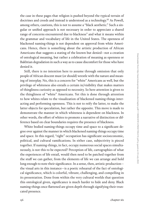the case in these pages that religion is pushed beyond the typical terrain of doctrines and creeds and instead is understood as a technology.<sup>10</sup> As Powell, among others, cautions, this is not to assume a "black aesthetic." Such a singular or unified approach is not necessary in order to appreciate a shared range of concerns encountered due to blackness" and what it means within the grammar and vocabulary of life in the United States. The openness of blackened naming-things is not dependent on approval from white Americans. Hence, there is something about the artistic production of African Americans that suggests a stating of the known but denied—not a creation of ontological meaning, but rather a celebration of meaning as openness or Bakhtian degradation in such a way as to cause discomfort for those who have denied it.

Still, there is no intention here to assume through omission that only people of African descent must (or should) wrestle with the nature and meaning of interplay. No, this is a concern for "white" Americans as well, but the privilege of whiteness also entails a certain in/visibility that makes matters of thingliness curiosity as opposed to necessity. So here attention is given to the thingliness of "white" Americans. Yet this is done through attention to how whites relate to the visualization of blackened naming-things interacting and performing openness. This is not to reify the latter, to make the latter objects for speculation, but rather the opposite. This move is made to demonstrate the manner in which whiteness is dependent on blackness. In other words, the effort of whites to promote a narrative of distinction or difference based on clear boundaries requires the presence of blackness.

White bodied naming-things occupy time and space to a significant degree over against the manner in which blackened naming-things occupy time and space. In this regard, "right" occupation has significant socioeconomic, political, and cultural ramifications. In either case, subjectivity is pieced together. If naming-things, in fact, occupy numerous social spaces simultaneously, is not this to be expected? Perception of life, cartographies of what the experiences of life entail, would then need to be patched together from the stuff we can gather, from the elements of life we can arrange and hold long enough to note their significance. In a sense, then, artistic production the visual arts in this instance—is a poetic rehearsal of the fact of ontological significance, which is colorful, vibrant, challenging, and compelling in its presentation. Done from within the very cultural worlds that question this ontological given, significance is much harder to hide and deny. Black naming-things once flattened are given depth through signifying their truncated presence.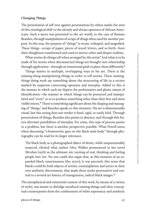#### Changing Things

The presentation of self over against presentations by others marks the start of this ontological shift to the already and always openness of African Americans. Such a move was presented to the art world, in the case of Romare Bearden, through manipulation of scraps of things often used for another purpose. In this way, the purpose of "things" is recast, reshaped, and magnified. These things—scraps of paper, pieces of wood, letters, and so forth—have their thingliness transformed and used to mirror other and deeper realities.

What stories do things tell when arranged by this artist? And what is to be made of his stories when disconnected things are brought into relationship through application—through an intentional push to place them differently?

Things matter in multiple, overlapping ways in his art. There is the naming-thing manipulating things in order to tell stories. These namingthings doing work say something about the structuring of life in a society marked by suspicion concerning openness and interplay. Added to this is the manner in which such art depicts the performative and plastic nature of identification—the manner in which things can be pressured and manipulated and "worn" so as to produce something other than their first and most visible intent.<sup>11</sup> There is something significant about the shaping and massaging of "things," and Bearden speaks to this situation. His art is dimensionally visual, but this seeing does not render it fixed, rigid, or easily held. Through presentation of things, Bearden also points to absence, and through this fosters alternate possibilities of interplay. For some, this type of process points to a problem, but there is another perspective possible. What Powell notes when discussing "a homoerotic gaze on the black male body" through photography can be read for its larger relevance:

The black body as a photographed object of desire, while unquestionably nuanced, elicited what author Alice Walker pronounced in her novel *Meridian* (1976) as the ultimate sin: turning of real, thinking and feeling people into Art. Yet one could also argue that, at this moment of an expanded black consciousness [the 1970s], it was precisely this sense that blacks could be both objects of artistic contemplation and actors in their own aesthetic discernment, that made these works provocative and cen-tral to a revised art history of transgressive, radical black images.<sup>[12](#page--1-0)</sup>

The metaphysical and existential content of this work, by means of a variety of styles, was meant to dislodge racialized naming-things and their conceptual counterpoints from the confinement of white supremacy and aesthetic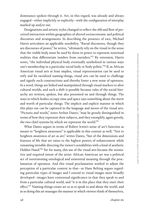dominance spoken through it. Art, in this regard, was already and always engaged—either implicitly or explicitly—with the configuration of interplay marked up and/or out.

Designations and artistic styles changed to reflect the ebb and flow of perceived interaction within geographies of altered socioeconomic and political discourses and arrangements. In describing the presence of race, Michael Harris articulates an applicable sensibility. "Racial discourses, though they are discourses of power," he writes, "ultimately rely on the visual in the sense that the visible body must be used by those in power to represent nonvisual realities that differentiate insiders from outsiders.["13](#page--1-0) By extension, Harris notes, "the individual physical body eventually symbolized in various ways one's membership in a particular social body or body politic."[14](#page--1-0) If, as African American visual arts at least implies, visual representation can be used to reify and fix racialized naming-things, visual arts can be used to challenge and signify such constructions and thereby foster a new sense of openness. In a word, things are linked and manipulated through visual markers to alter cultural worlds, and such a shift is possible because rules of the social hierarchy are written, spoken, but also presented on and through things. The ways in which bodies occupy time and space says something about the merit and worth of particular things. The implicit and explicit manner in which this plays out can be captured in the language and moves of the visual arts. "Pictures and words," notes Arthur Danto, "may be grossly distinguished in terms of how they represent their subjects, and they exemplify, again grossly, the two chief systems by which we represent the world."[15](#page--1-0)

What Danto argues in terms of Robert Irwin's sense of art's function as meant to "heighten awareness" is applicable in this context as well. "Not to heighten awareness of art as art," writes Danto, "but of the dimensions and features of life that art raises to the highest powers of enhancement while remaining invisible directing the viewer's sensibilities with a kind of aesthetic Hidden Hand."<sup>16</sup> Yet for many, this use of the visual arts became the normative and required intent of the artist: African American art was a political act of reenvisioning ontological and existential meaning through the proclamation of openness. And this visual proclamation worked to adjust the perception of a particular context in that—as Hans Belting argues regarding particular types of images and I extend to visual images more broadly developed—images have contextual significance in that they speak to and from a particular cultural world, and "it is in this place that they exert their effect."<sup>[17](#page--1-0)</sup> Naming-things create art so as to speak to and about the world, and in so doing this art massages the manner in which viewers think of themselves,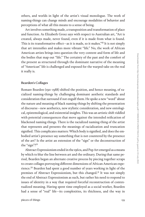others, and worlds in light of the artist's visual monologue. The work of naming-things can change minds and encourage modalities of behavior and perceptions of what all this means to a sense of being.

Art involves something made, a transposition and transformation of place and function. As Elizabeth Grosz says with respect to Australian art, "Art is created, always made, never found, even if it is made from what is found. This is its transformative effect—as it is made, so it makes."[18](#page--1-0) It is not simply that art intensifies and makes more vibrant "life." No, the work of African American artists brings into question the very content and form of life and the bodies that map out "life." The certainty of the past and the comfort of the present as structured through the dominant narrative of the meaning of "American" life is challenged and exposed for the warped take on the real it really is.

### Bearden's Collages

Romare Bearden (1911–1988) shifted the position, and hence meaning, of racialized naming-things by challenging dominant aesthetic standards and consideration that surround if not engulf them. He spoke a new "word" about the nature and meaning of black naming-things by shifting the presentation of discourse—new aesthetics, new stylistic consideration, and new ontological, epistemological, and existential insights. This was an artistic shift riddled with potential consequences that move against the intended reification of blackened naming-things. There is the racialized naming-thing of the artist that represents and presents the meanings of racialization and truncation signified. This complicates matters: Which body is signified, and does the embodied artist's presence say something that is not countered by the presence of the art? Is the artist an extension of the "sign" or the deconstruction of the "sign"?[19](#page--1-0)

Abstract Expressionism ended in the 1960s, and Pop Art emerged as a means by which to blur the line between art and the ordinary. During that same period, Bearden began an alternate creative process by piecing together scraps to create collages portraying different dimensions of African American experience.<sup>20</sup> Bearden had spent a good number of years working in light of the premises of Abstract Expressionism, but this changed.<sup>21</sup> It was not simply the end of Abstract Expressionism as such, but rather his need to respond to issues of identity in a way that required forceful reconstruction of contextualized meaning. Having spent time employed as a social worker, Bearden had a sense of "real" life—its complexities, its thickness, and the way in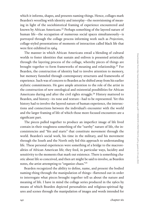which it informs, shapes, and presents naming-things. Hence, collages mark Bearden's wrestling with identity and interplay—the reenvisioning of meaning in light of the sociohistorical framing of experience encountered and known by African Americans.<sup>22</sup> Perhaps something of the layered nature of human life—the occupation of numerous social spaces simultaneously—is portrayed through the collage process informing work such as *Projections*, collage-styled presentations of moments of interaction called black life that were first exhibited in 1964.

The manner in which African Americans entail a blending of cultural worlds to foster identities that sustain and enliven is presented artistically through the layering process of the collage, whereby pieces of things are brought together to form frameworks of meaning and relationship.<sup>23</sup> For Bearden, the construction of identity had to involve attention to memory, but memory funneled through contemporary structures and frameworks of experience. Such was of concern to Bearden as he shifted away from his earlier stylistic commitments. He gave ample attention to the role of the artist in the construction of new ontological and existential possibilities for African Americans during and after the civil rights struggle.<sup>24</sup> History mattered to Bearden, and history—its tone and texture—had to be represented. Yet this history had to involve the layered nature of human experience, the intersections and connections between the individual's encounter with the world and the larger framing of life of which those more focused encounters are a significant part.

The pieces pulled together to produce an imperfect image of life lived contain in their roughness something of the "earthy" nature of life, the inconsistencies and "fits and starts" that constitute movement through the world. Bearden's social work, his time in the military, and his movement through the South and the North only fed this approach to understanding life. These personal experiences were something of a bridge to the macrorealities of African American life; they feed, in particular ways, lucidity and sensitivity to the moments that mark out existence. There is something chaotic about life so conceived, and then art might be said to involve, as Bearden notes, the artist attempting to "organize chaos.["25](#page--1-0)

Bearden recognized the ability to define, name, and present the bodied naming-thing through the manipulation of things—flattened out in order to interrogate what pieces brought together tell us about the nature and meaning of life. I have in mind the collage series produced in the 1960s by means of which Bearden depicted personalities and religious-spiritual figures and scenes through the manipulation of images and words intended for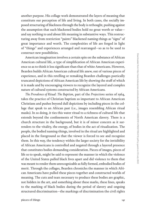another purpose. His collage work demonstrated the layers of meaning that constitute our perception of life and living. In both cases, the socially imposed structuring of blackness through the body is rethought, pushing against the assumption that such blackened bodies hold no great worth or value and say nothing to and about life meaning in substantive ways. This restructuring away from restriction "paints" blackened naming-things as "signs" of great importance and worth. The complexities of life are forged in light of "things" and experiences arranged and rearranged—so as to be used to construct new possibilities.

American imagination involves a certain spin on the substance of African American cultural life, a type of simplification of African American experience so as to think it less significant than that of white Americans. However, Bearden builds African American cultural life anew, out of various pieces of experience, and in this retelling or remaking Bearden challenges poetically truncated depictions of African American life by showing the stuff of which it is made and by encouraging viewers to recognize the layered and complex nature of cultural systems constructed by African Americans.

*The Prevalence of Ritual: The Baptism*, part of the *Projections* series of 1964, takes the practice of Christian baptism so important to African American Christians and pushes beyond dull depictions by including pieces in the collage that speak to an African past (i.e., images resembling African ritual masks). In so doing, it ties this water ritual to a richness of cultural life that extends beyond the confinements of North American slavery. There is a church structure in the background, but it is of minor concern as it surrenders to the vitality, the energy, of bodies in the act of ritualization. The people, the bodied naming-things, involved in the ritual are highlighted and placed in the foreground so that the viewer is forced to see and recognize them. In this way, the tendency within the larger society for the invisibility of African Americans is controlled and negated through a layered presence that constitutes bodies demanding consideration. Pieces of images, pieces of life so to speak, might be said to represent the manner in which the violence of the United States pulled black lives apart and did violence to them that was meant to render them unrecognizable as fully formed, embodied bodies of merit. Through the collages, Bearden chronicles the manner in which African Americans have pulled these pieces together and constructed worlds of meaning. The cuts and tears necessary to produce these bodies are graphic, not hidden in the art, and something about these marks, these lines, speaks to the marking of black bodies during the period of slavery and ongoing structured discrimination—the markings of discrimination the civil rights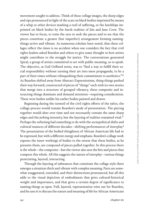movement sought to address. Think of these collage images, the sharp edges and rips pronounced in light of the scars on black bodies imprinted by means of a whip or other devices marking a trail of suffering, or the hardships imprinted on black bodies by the harsh realities of Jim and Jane Crow. The viewer has to focus, to train the eyes to seek the pieces and to see that the pieces constitute a greater (but imperfect) arrangement forming namingthings active and vibrant. As numerous scholars have noted, that these collages reflect the times is no accident when one considers the fact that civil rights leaders asked Bearden and others to give some thought to how artists might contribute to the struggle for justice. The conversations generated Spiral, a group of artists committed to art with public meaning, so to speak. The objective, as Gail Gelburd notes, was to "find a way to fulfill their social responsibility without turning their art into mere propaganda, to be a part of their times without relinquishing their commitment to aesthetics.["26](#page--1-0) As Bearden shifted away from Abstract Expressionism, thing-things pushed their way forward; constructed of pieces of "things" each with its own stories that merge into a structure of grouped vibrancy, these composite and interacting things dominate and demand attention—requiring consideration. These were bodies unlike his earlier bodies painted and drawn.

Beginning during the turmoil of the civil rights efforts of the 1960s, the collage process would remain Bearden's mode of presentation. The piecing together would alter over time and not necessarily contain the same sharp edges and the jerking intensity, but the layering of realities remained vital.<sup>[27](#page--1-0)</sup> Perhaps the softening had something to do with the sociopolitical shifts and cultural nuances of different decades—shifting performances of interplay? The presentation of the bodied thingliness of African American life had to be expressed, but with a different energy and emphasis. Bearden's collage work exposes the inner workings of bodies to the extent that these bodies, as he presents them, are composed of pieces pulled together. In this process there is the whole—the composite—but the viewer also sees the bits and pieces that compose this whole. All this suggests the nature of interplay—various things penetrating, layered, interacting.

Through the layering of substances that constitute the collage style there emerges a situation thick and vibrant with complex meaning. Parts are somewhat exaggerated, extended, and their distinctions pronounced, but all this adds to the visual depiction of embodiment that gives cultural-historical weight and importance, and that gives a certain degree of significance to naming-things as open. Full, layered, representation wins out for Bearden, and he uses it to discuss the nature and meaning of life for African Americans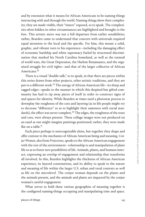and by extension what it means for African Americans to be naming-things interacting with and through the world. Naming-things show their complexity; they are made visible, their "inners" exposed, so to speak. The complexities often hidden in other circumstances are highlighted and brought to the fore. This artistic move was not a full departure from earlier sensibilities; rather, Bearden came to understand that concern with universals required equal attention to the local and the specific. For him, this meant a solid, graphic, and vibrant turn to his experience—including the damaging effect of economic hardship and white supremacy fueled by structured discrimination that marked his North Carolina homeland, as well as the turmoil of world wars, the Great Depression, the Harlem Renaissance, and the organized struggle for civil rights—and that of the larger collective of African Americans[.28](#page--1-0)

There is a visual "double-talk," so to speak, in that there are pieces within this series drawn from other projects, other artistic traditions, and they are put to a different work.<sup>[29](#page--1-0)</sup> The energy of African American life-its sharp and ragged edges—speaks to the manner in which this despised but gifted community has had to rip away pieces of itself in order to construct signs of and spaces for identity. While Bearden at times used a photostat process to downplay the roughness of the cuts and layering (as in life people might try to decrease "difference" so as to highlight their sameness with social standards), the effect was never complete.<sup>30</sup> The edges, the roughness of the tears and cuts, were always present. These collage images were not produced on an easel as one might imagine paintings positioned; rather, they were made flat on a table.<sup>[31](#page--1-0)</sup>

Each piece perhaps is unrecognizable alone, but together they shape and offer contour to the mechanics of African American being and meaning. *Conjur Woman*, also from *Projections*, speaks to the African American engagement with the rest of the environment—relationship to and manipulation of plant life so as to foster new possibilities of life. Animals, plants, and humans interact, expressing an overlap of engagement and relationship that transforms all involved. In this, Bearden highlights the thickness of African American experience, its layered connotations, and its ability to speak to the nature and meaning of life within the larger U.S. urban and rural contexts as well as life on the microlevel. The conjur woman depends on the plants and the animals present, and the animals and plants are impacted by the conjur woman's careful engagement.

What serves to hold these various geographies of meaning together is the configured naming-things occupying and manipulating time and space.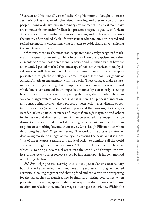"Bearden and his peers," writes Leslie King-Hammond, "sought to create aesthetic voices that would give visual meaning and presence to ordinary people—living ordinary lives, in ordinary environments—in an extraordinary era of modernist invention."[32](#page--1-0) Bearden presents the poetic quality of African American experience within various social realms, and in this way he exposes the vitality of embodied black life over against what are often truncated and reified assumptions concerning what it means to be black and alive—shifting through time and space.

Of course, there are the most readily apparent and easily recognized markers of this quest for meaning. Think in terms of conjure, baptism, and other elements of African-based traditional practices and Christianity that have for an extended period marked the landscape of African American metaphysical concern. Still there are more, less easily registered modalities of interplay presented through these collages. Bearden maps out the soul—or genius of African American engagement with the world. These collages make a statement concerning meaning that is important to note: meaning is not found whole but is constructed in an imperfect manner by consciously selecting bits and pieces of experience and pulling them together for what they can say about larger systems of concerns. What is more, this process of intentionally constructing involves also a process of destruction, a privileging of certain experiences (or moments of interplay) and the ignoring of others, as Bearden selects particular pieces of images from *Life* magazine and others for inclusion and dismisses others. And once selected, the images must be dismantled—their initial intended meaning ripped apart—in order for them to point to something beyond themselves. Or as Ralph Ellison notes when describing Bearden's *Projections* series, "The work of the arts is a matter of destroying moribund images of reality and creating the new." What is more, "it is of the true artist's nature and mode of action to dominate all the world and time through technique and vision." This is tied to a task, an objective which is "to bring a new visual order into the world, and through [the artist's] art he seeks to reset society's clock by imposing upon it his own method of defining the times."[33](#page--1-0)

*Fish Fry* (1967) presents activity that is not spectacular or extraordinary but still speaks to the depth of human meaning expressed through embodied activities. Cooking together and sharing food and conversation or preparing for the day as the sun signals a new beginning, or sitting over coffee, when presented by Bearden, speak in different ways to a shared concern for connection, for relationship, and for a way to interrogate experience. Within the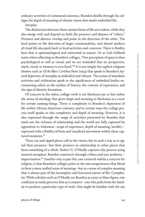ordinary activities of communal existence, Bearden distills through his collages the depth of meaning of vibrant vision that marks embodied life.

*Interplay*.

The distinctions between these various forms of life are evident, while they also merge with and depend on both the presence and absence of "others." Presence and absence overlap and point in the direction of the other. The local points in the direction of larger commonalities, and shared markers of ritual life also push back to local activities and concerns. There is fluidity here that is epistemological and existential in nature. Or as Gail Gelburd notes when reflecting on Bearden's collages, "Our perception of space is then psychological as well as visual, and we are reminded that no perspective, myth, ritual, or memory is ever fixed.["34](#page--1-0) It is not simply the explicit religious themes such as *Of the Blues: Carolina Shout* (1974) that speak to Bearden's layered depiction of interplay as embodied and vibrant. The scenes of mundane activities and celebration speak to the significance of embodied bodies encountering others as the outline of history, the content of experience, and the sign of identity formation.

Of concern in the 1960s, collage work is not blackness per se but rather the arena of ontology that gives shape and meaning to blackness as a cover for certain naming-things. There is complexity to Bearden's depictions of life within African American contexts, and in certain ways the collage process itself speaks to this complexity and depth of meaning. However, it is also expressed through the range of activities presented by Bearden that mark out the richness of relationship and the world not fully captured by opposition to whiteness—scope of experience, depth of meaning, lucidity expressed with a fluidity of form and visualized movement within these captured moments.<sup>35</sup>

These cut and ripped pieces call to the viewer, but in such a way as to signal their presence—but their presence in relationship to other pieces that form something of a whole. Robert G. O'Meally captures this process using musical metaphor: Bearden constructs through a blues and jazz aesthetic— improvisation.<sup>[36](#page--1-0)</sup> Another way to put this, one centered within a concern for religion, is that Bearden's collages point to the microexperiences that blend to form a more unified sense of meaning—but as a sense of complex meaning that is always part of the incomplete and fractured nature of life: Complexity. While scholars such as O'Meally see Bearden as a jazz or blues figure, one could just as easily perceive him as a conjurer—one who pulls from the familiar to produce a particular type of work. One might be familiar with the use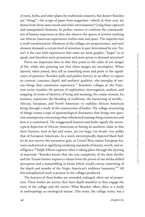of roots, herbs, and other plants by traditional conjurers, but doesn't Bearden use "things"—the scraps of paper from magazines—which, at their core, are drawn from those same woods and other environments? Using these captured and manipulated elements, he pushes viewers to confront the commonalities of human experience as they also observe the spaces of activity marking out African American experiences within time and space. The imperfection is itself transformative. Elements of the collages are proportionate, and each element demands a certain level of attention in part determined by size. Yet, isn't it the case with experiences that some are more graphic, "larger" so to speak, and therefore more prominent and more prone to demand attention?

Pieces are important here in that they point to the value of our images of life, while also pointing out that these images are incomplete. When layered, when joined, they tell us something more and point to the significance of presence. Bearden pulls and pushes history in an effort to expose its content, contours, depth, and aesthetic qualities—the interplay of various things that constitutes experience.[37](#page--1-0) Bearden's collages in the *Projections* series visualize the process of exploration, interrogation, analysis, and mapping. In terms of identity, of being and meaning, the conjur woman, for instance, represents the blending of traditions, the harnessing of worlds— African, European, and North American—to stabilize African American being through a study of the construction of bodies. The collage structuring of things creates a type of epistemological dissonance that brings into question assumptions concerning what a blackened naming-thing constitutes and how it is constituted. The exaggerated features and limbs signify the stereotypical depiction of African Americans as having no aesthetic value in that their features, such as lips and noses, are too large, too broad—too unlike that of European Americans. In a word, stereotypically depicted black bodies do not survive the normative gaze, as Cornel West names European features understood as signifying totalizing standards of beauty, worth, and intelligence.[38](#page--1-0) Ralph Ellison captures what is taking place through the layering of materials: "Bearden knows that the true complexity of the slum dweller and the Tenant farmer requires a release from the prison of our media-dulled perception and a reassembling in forms which would convey something of the depth and wonder of the Negro American's stubborn humanity.["39](#page--1-0) All this metaphysical work is present in the collages produced.

The features of these bodies are extended, enlarged, often out of proportion. These bodies are active; they have depth manifest as they engage the story of the collage and the viewer. What Bearden offers, then, is a study in anthropology as ontological mosaic. This series, the collage series, was a